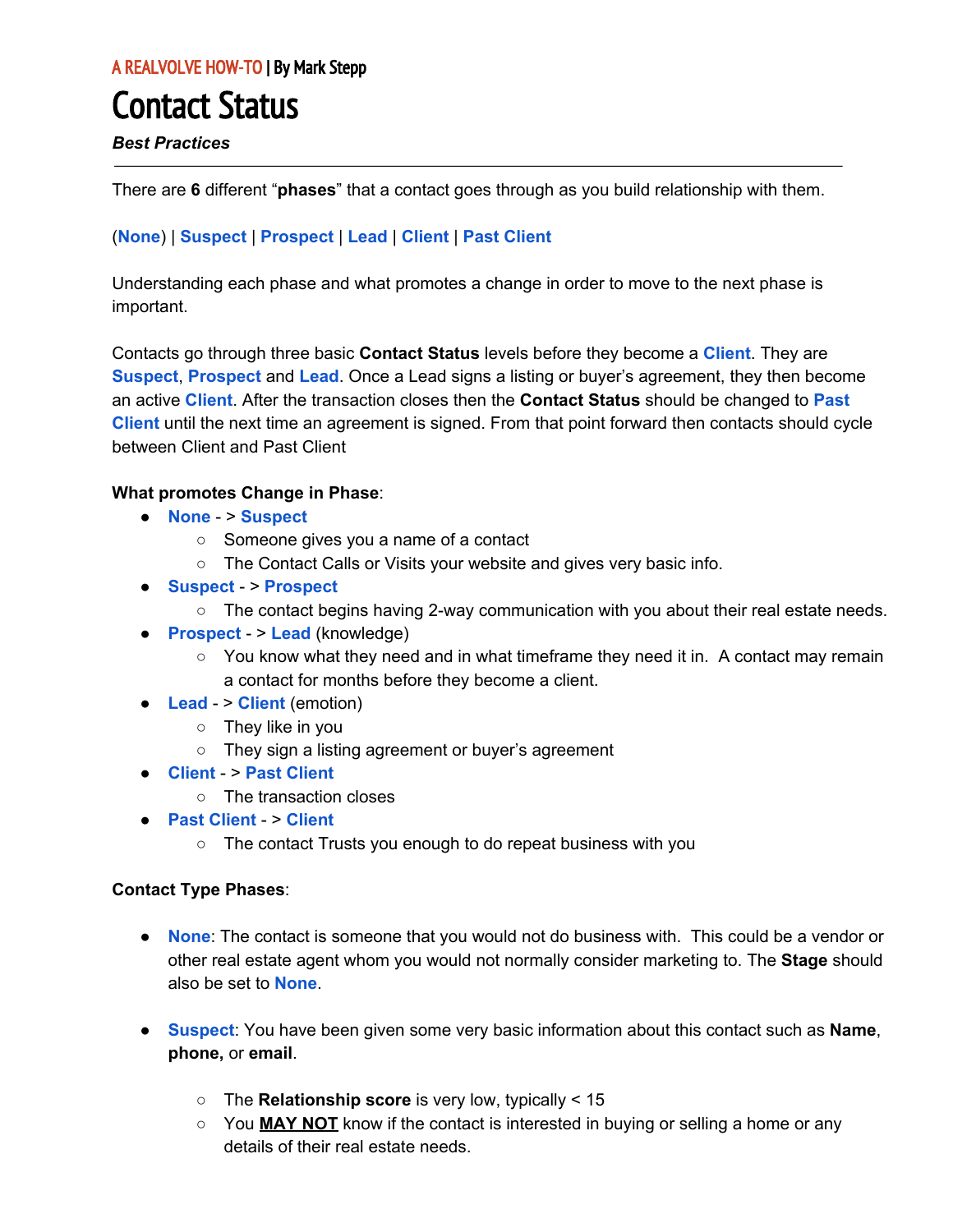# Contact Status

### *Best Practices*

There are **6** different "**phases**" that a contact goes through as you build relationship with them.

## (**None**) | **Suspect** | **Prospect** | **Lead** | **Client** | **Past Client**

Understanding each phase and what promotes a change in order to move to the next phase is important.

Contacts go through three basic **Contact Status** levels before they become a **Client**. They are **Suspect**, **Prospect** and **Lead**. Once a Lead signs a listing or buyer's agreement, they then become an active **Client**. After the transaction closes then the **Contact Status** should be changed to **Past Client** until the next time an agreement is signed. From that point forward then contacts should cycle between Client and Past Client

#### **What promotes Change in Phase**:

- **None** > **Suspect**
	- Someone gives you a name of a contact
	- The Contact Calls or Visits your website and gives very basic info.
- **Suspect** > **Prospect**
	- $\circ$  The contact begins having 2-way communication with you about their real estate needs.
- **Prospect** > **Lead** (knowledge)
	- You know what they need and in what timeframe they need it in. A contact may remain a contact for months before they become a client.
- **Lead** > **Client** (emotion)
	- They like in you
	- They sign a listing agreement or buyer's agreement
- **Client** > **Past Client**
	- The transaction closes
- **Past Client** > **Client**
	- The contact Trusts you enough to do repeat business with you

#### **Contact Type Phases**:

- **None**: The contact is someone that you would not do business with. This could be a vendor or other real estate agent whom you would not normally consider marketing to. The **Stage** should also be set to **None**.
- **Suspect**: You have been given some very basic information about this contact such as **Name**, **phone,** or **email**.
	- The **Relationship score** is very low, typically < 15
	- You **MAY NOT** know if the contact is interested in buying or selling a home or any details of their real estate needs.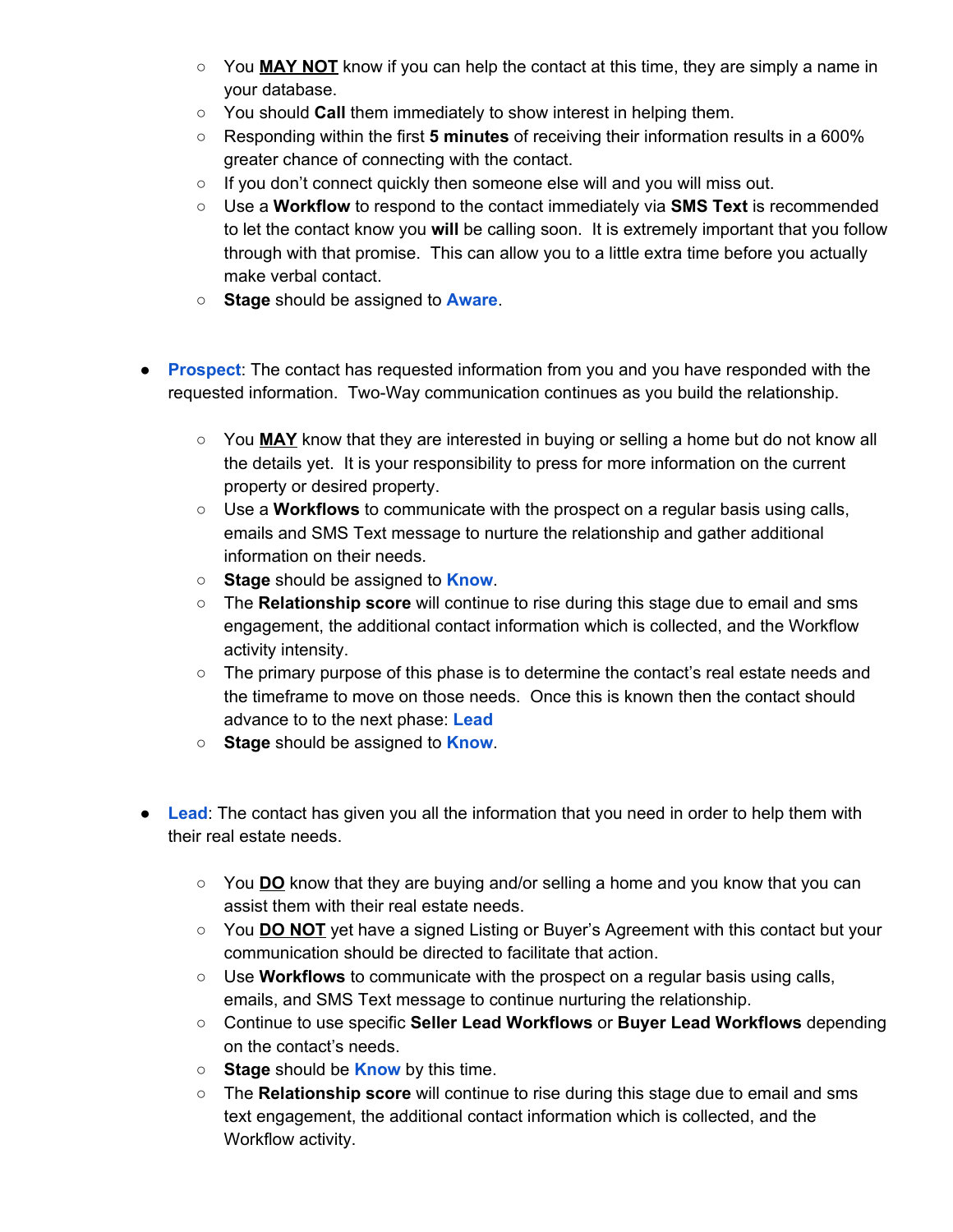- You **MAY NOT** know if you can help the contact at this time, they are simply a name in your database.
- You should **Call** them immediately to show interest in helping them.
- Responding within the first **5 minutes** of receiving their information results in a 600% greater chance of connecting with the contact.
- If you don't connect quickly then someone else will and you will miss out.
- Use a **Workflow** to respond to the contact immediately via **SMS Text** is recommended to let the contact know you **will** be calling soon. It is extremely important that you follow through with that promise. This can allow you to a little extra time before you actually make verbal contact.
- **Stage** should be assigned to **Aware**.
- **Prospect:** The contact has requested information from you and you have responded with the requested information. Two-Way communication continues as you build the relationship.
	- You **MAY** know that they are interested in buying or selling a home but do not know all the details yet. It is your responsibility to press for more information on the current property or desired property.
	- Use a **Workflows** to communicate with the prospect on a regular basis using calls, emails and SMS Text message to nurture the relationship and gather additional information on their needs.
	- **Stage** should be assigned to **Know**.
	- The **Relationship score** will continue to rise during this stage due to email and sms engagement, the additional contact information which is collected, and the Workflow activity intensity.
	- The primary purpose of this phase is to determine the contact's real estate needs and the timeframe to move on those needs. Once this is known then the contact should advance to to the next phase: **Lead**
	- **Stage** should be assigned to **Know**.
- **Lead**: The contact has given you all the information that you need in order to help them with their real estate needs.
	- You **DO** know that they are buying and/or selling a home and you know that you can assist them with their real estate needs.
	- You **DO NOT** yet have a signed Listing or Buyer's Agreement with this contact but your communication should be directed to facilitate that action.
	- Use **Workflows** to communicate with the prospect on a regular basis using calls, emails, and SMS Text message to continue nurturing the relationship.
	- Continue to use specific **Seller Lead Workflows** or **Buyer Lead Workflows** depending on the contact's needs.
	- **Stage** should be **Know** by this time.
	- The **Relationship score** will continue to rise during this stage due to email and sms text engagement, the additional contact information which is collected, and the Workflow activity.